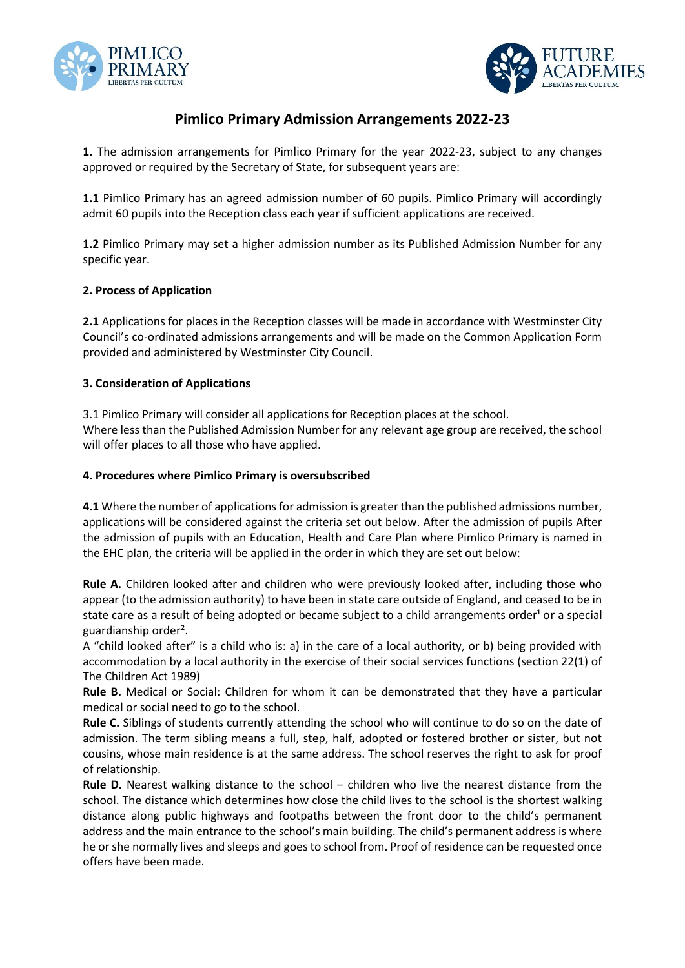



# **Pimlico Primary Admission Arrangements 2022-23**

**1.** The admission arrangements for Pimlico Primary for the year 2022-23, subject to any changes approved or required by the Secretary of State, for subsequent years are:

**1.1** Pimlico Primary has an agreed admission number of 60 pupils. Pimlico Primary will accordingly admit 60 pupils into the Reception class each year if sufficient applications are received.

**1.2** Pimlico Primary may set a higher admission number as its Published Admission Number for any specific year.

# **2. Process of Application**

**2.1** Applications for places in the Reception classes will be made in accordance with Westminster City Council's co-ordinated admissions arrangements and will be made on the Common Application Form provided and administered by Westminster City Council.

# **3. Consideration of Applications**

3.1 Pimlico Primary will consider all applications for Reception places at the school. Where less than the Published Admission Number for any relevant age group are received, the school will offer places to all those who have applied.

# **4. Procedures where Pimlico Primary is oversubscribed**

**4.1** Where the number of applications for admission is greater than the published admissions number, applications will be considered against the criteria set out below. After the admission of pupils After the admission of pupils with an Education, Health and Care Plan where Pimlico Primary is named in the EHC plan, the criteria will be applied in the order in which they are set out below:

**Rule A.** Children looked after and children who were previously looked after, including those who appear (to the admission authority) to have been in state care outside of England, and ceased to be in state care as a result of being adopted or became subject to a child arrangements order<sup>1</sup> or a special guardianship order².

A "child looked after" is a child who is: a) in the care of a local authority, or b) being provided with accommodation by a local authority in the exercise of their social services functions (section 22(1) of The Children Act 1989)

**Rule B.** Medical or Social: Children for whom it can be demonstrated that they have a particular medical or social need to go to the school.

**Rule C.** Siblings of students currently attending the school who will continue to do so on the date of admission. The term sibling means a full, step, half, adopted or fostered brother or sister, but not cousins, whose main residence is at the same address. The school reserves the right to ask for proof of relationship.

**Rule D.** Nearest walking distance to the school – children who live the nearest distance from the school. The distance which determines how close the child lives to the school is the shortest walking distance along public highways and footpaths between the front door to the child's permanent address and the main entrance to the school's main building. The child's permanent address is where he or she normally lives and sleeps and goes to school from. Proof of residence can be requested once offers have been made.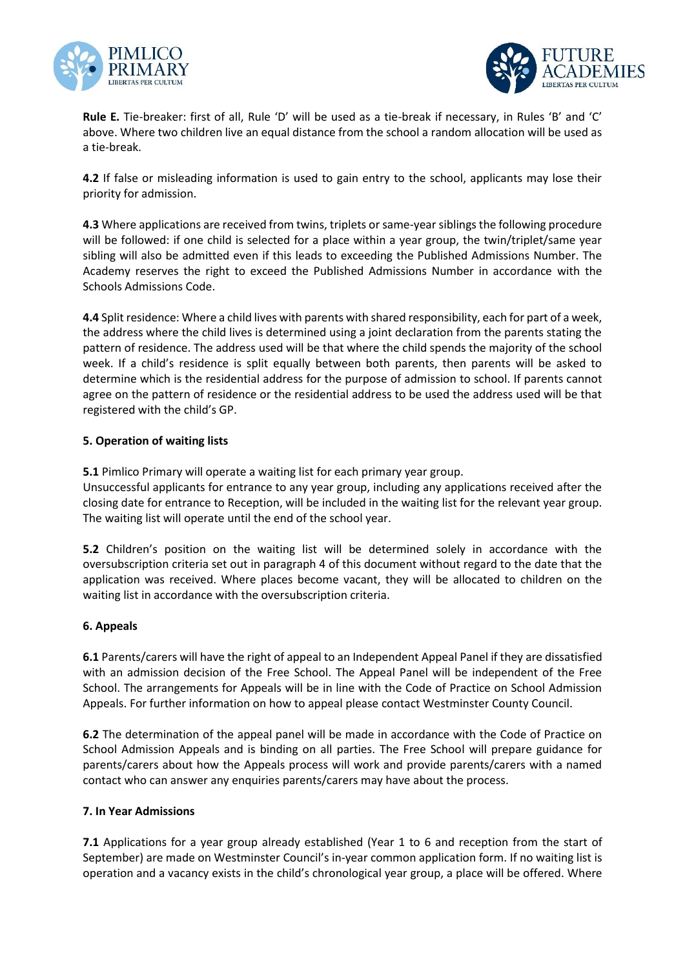



**Rule E.** Tie-breaker: first of all, Rule 'D' will be used as a tie-break if necessary, in Rules 'B' and 'C' above. Where two children live an equal distance from the school a random allocation will be used as a tie-break.

**4.2** If false or misleading information is used to gain entry to the school, applicants may lose their priority for admission.

**4.3** Where applications are received from twins, triplets or same-year siblings the following procedure will be followed: if one child is selected for a place within a year group, the twin/triplet/same year sibling will also be admitted even if this leads to exceeding the Published Admissions Number. The Academy reserves the right to exceed the Published Admissions Number in accordance with the Schools Admissions Code.

**4.4** Split residence: Where a child lives with parents with shared responsibility, each for part of a week, the address where the child lives is determined using a joint declaration from the parents stating the pattern of residence. The address used will be that where the child spends the majority of the school week. If a child's residence is split equally between both parents, then parents will be asked to determine which is the residential address for the purpose of admission to school. If parents cannot agree on the pattern of residence or the residential address to be used the address used will be that registered with the child's GP.

# **5. Operation of waiting lists**

**5.1** Pimlico Primary will operate a waiting list for each primary year group.

Unsuccessful applicants for entrance to any year group, including any applications received after the closing date for entrance to Reception, will be included in the waiting list for the relevant year group. The waiting list will operate until the end of the school year.

**5.2** Children's position on the waiting list will be determined solely in accordance with the oversubscription criteria set out in paragraph 4 of this document without regard to the date that the application was received. Where places become vacant, they will be allocated to children on the waiting list in accordance with the oversubscription criteria.

## **6. Appeals**

**6.1** Parents/carers will have the right of appeal to an Independent Appeal Panel if they are dissatisfied with an admission decision of the Free School. The Appeal Panel will be independent of the Free School. The arrangements for Appeals will be in line with the Code of Practice on School Admission Appeals. For further information on how to appeal please contact Westminster County Council.

**6.2** The determination of the appeal panel will be made in accordance with the Code of Practice on School Admission Appeals and is binding on all parties. The Free School will prepare guidance for parents/carers about how the Appeals process will work and provide parents/carers with a named contact who can answer any enquiries parents/carers may have about the process.

#### **7. In Year Admissions**

**7.1** Applications for a year group already established (Year 1 to 6 and reception from the start of September) are made on Westminster Council's in-year common application form. If no waiting list is operation and a vacancy exists in the child's chronological year group, a place will be offered. Where